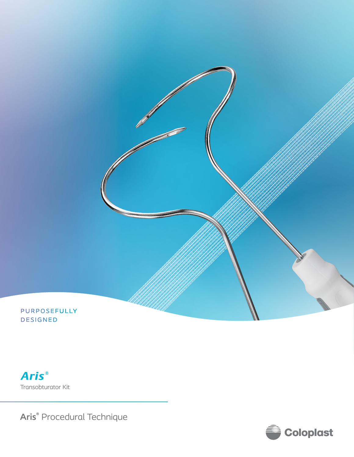

**DESIGNED** 

**Aris**® Transobturator Kit

**Aris®** Procedural Technique

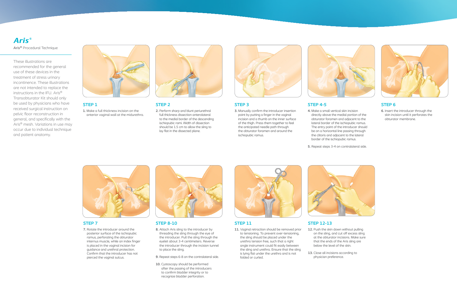## **STEP 1**

**1.** Make a full thickness incision on the anterior vaginal wall at the midurethra.



These illustrations are recommended for the general use of these devices in the treatment of stress urinary incontinence. These illustrations are not intended to replace the instructions in the IFU. Aris® Transobturator Kit should only be used by physicians who have received surgical instruction on pelvic floor reconstruction in general, and specifically with the Aris® mesh. Variations in use may occur due to individual technique and patient anatomy.



**Aris**® **Aris®** Procedural Technique

# **STEP 2**

**2.** Perform sharp and blunt periurethral full thickness dissection anterolateral to the medial border of the descending ischiopubic rami. Width of dissection should be 1.5 cm to allow the sling to lay flat in the dissected plane.



# **STEP 3**

**3.** Manually confirm the introducer insertion point by putting a finger in the vaginal incision and a thumb on the inner surface of the thigh. Press them together to feel the anticipated needle path through the obturator foramen and around the ischiopubic ramus.



## **STEP 6**

**6.** Insert the introducer through the skin incision until it perforates the obturator membrane.

# **STEP 4-5**

**4.** Make a small vertical skin incision

directly above the medial portion of the obturator foramen and adjacent to the lateral border of the ischiopubic ramus. The entry point of the introducer should be on a horizontal line passing through the clitoris and adjacent to the lateral border of the ischiopubic ramus.

**5.** Repeat steps 3-4 on contralateral side.



## **STEP 7**

**7.** Rotate the introducer around the posterior surface of the ischiopubic ramus, perforating the obturator internus muscle, while an index finger is placed in the vaginal incision for guidance and urethral protection. Confirm that the introducer has not pierced the vaginal sulcus.



## **STEP 8-10**

- **8.** Attach Aris sling to the introducer by threading the sling through the eye of the introducer. Pull the sling through the eyelet about 3-4 centimeters. Reverse the introducer through the incision tunnel to place the sling.
- **9.** Repeat steps 6-8 on the contralateral side.
- **10.** Cystoscopy should be performed after the passing of the introducers to confirm bladder integrity or to recognize bladder perforation.



## **STEP 11**

**11.** Vaginal retraction should be removed prior to tensioning. To prevent over-tensioning, the sling should be placed under the urethra tension free, such that a right angle instrument could fit easily between the sling and urethra. Ensure that the sling is lying flat under the urethra and is not folded or curled.



## **STEP 12-13**

**12.** Push the skin down without pulling on the sling, and cut off excess sling at the obturator incisions. Make sure that the ends of the Aris sling are below the level of the skin.

- 
- **13.** Close all incisions according to physician preference.